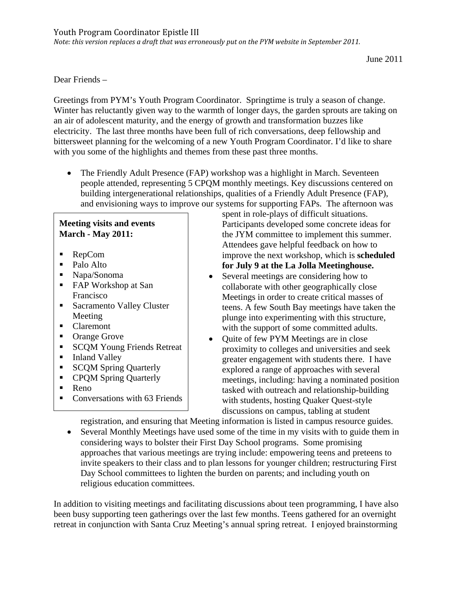*Note: this version replaces a draft that was erroneously put on the PYM website in September 2011.*

Dear Friends –

Greetings from PYM's Youth Program Coordinator. Springtime is truly a season of change. Winter has reluctantly given way to the warmth of longer days, the garden sprouts are taking on an air of adolescent maturity, and the energy of growth and transformation buzzes like electricity. The last three months have been full of rich conversations, deep fellowship and bittersweet planning for the welcoming of a new Youth Program Coordinator. I'd like to share with you some of the highlights and themes from these past three months.

• The Friendly Adult Presence (FAP) workshop was a highlight in March. Seventeen people attended, representing 5 CPQM monthly meetings. Key discussions centered on building intergenerational relationships, qualities of a Friendly Adult Presence (FAP), and envisioning ways to improve our systems for supporting FAPs. The afternoon was

## **Meeting visits and events March - May 2011:**

- RepCom
- Palo Alto
- Napa/Sonoma
- FAP Workshop at San Francisco
- Sacramento Valley Cluster Meeting
- Claremont
- Orange Grove
- SCQM Young Friends Retreat
- Inland Valley
- **SCOM Spring Quarterly**
- CPQM Spring Quarterly
- $\blacksquare$  Reno
- Conversations with 63 Friends

spent in role-plays of difficult situations. Participants developed some concrete ideas for the JYM committee to implement this summer. Attendees gave helpful feedback on how to improve the next workshop, which is **scheduled for July 9 at the La Jolla Meetinghouse.** 

- Several meetings are considering how to collaborate with other geographically close Meetings in order to create critical masses of teens. A few South Bay meetings have taken the plunge into experimenting with this structure, with the support of some committed adults.
- Quite of few PYM Meetings are in close proximity to colleges and universities and seek greater engagement with students there. I have explored a range of approaches with several meetings, including: having a nominated position tasked with outreach and relationship-building with students, hosting Quaker Quest-style discussions on campus, tabling at student

registration, and ensuring that Meeting information is listed in campus resource guides.

• Several Monthly Meetings have used some of the time in my visits with to guide them in considering ways to bolster their First Day School programs. Some promising approaches that various meetings are trying include: empowering teens and preteens to invite speakers to their class and to plan lessons for younger children; restructuring First Day School committees to lighten the burden on parents; and including youth on religious education committees.

In addition to visiting meetings and facilitating discussions about teen programming, I have also been busy supporting teen gatherings over the last few months. Teens gathered for an overnight retreat in conjunction with Santa Cruz Meeting's annual spring retreat. I enjoyed brainstorming